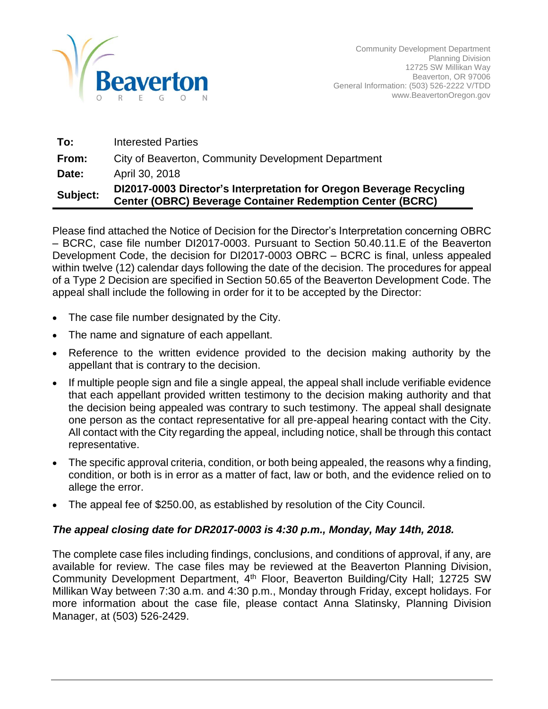

| To:      | <b>Interested Parties</b>                                                                                                               |
|----------|-----------------------------------------------------------------------------------------------------------------------------------------|
| From:    | City of Beaverton, Community Development Department                                                                                     |
| Date:    | April 30, 2018                                                                                                                          |
| Subject: | DI2017-0003 Director's Interpretation for Oregon Beverage Recycling<br><b>Center (OBRC) Beverage Container Redemption Center (BCRC)</b> |

Please find attached the Notice of Decision for the Director's Interpretation concerning OBRC – BCRC, case file number DI2017-0003. Pursuant to Section 50.40.11.E of the Beaverton Development Code, the decision for DI2017-0003 OBRC – BCRC is final, unless appealed within twelve (12) calendar days following the date of the decision. The procedures for appeal of a Type 2 Decision are specified in Section 50.65 of the Beaverton Development Code. The appeal shall include the following in order for it to be accepted by the Director:

- The case file number designated by the City.
- The name and signature of each appellant.
- Reference to the written evidence provided to the decision making authority by the appellant that is contrary to the decision.
- If multiple people sign and file a single appeal, the appeal shall include verifiable evidence that each appellant provided written testimony to the decision making authority and that the decision being appealed was contrary to such testimony. The appeal shall designate one person as the contact representative for all pre-appeal hearing contact with the City. All contact with the City regarding the appeal, including notice, shall be through this contact representative.
- The specific approval criteria, condition, or both being appealed, the reasons why a finding, condition, or both is in error as a matter of fact, law or both, and the evidence relied on to allege the error.
- The appeal fee of \$250.00, as established by resolution of the City Council.

#### *The appeal closing date for DR2017-0003 is 4:30 p.m., Monday, May 14th, 2018.*

The complete case files including findings, conclusions, and conditions of approval, if any, are available for review. The case files may be reviewed at the Beaverton Planning Division, Community Development Department, 4<sup>th</sup> Floor, Beaverton Building/City Hall; 12725 SW Millikan Way between 7:30 a.m. and 4:30 p.m., Monday through Friday, except holidays. For more information about the case file, please contact Anna Slatinsky, Planning Division Manager, at (503) 526-2429.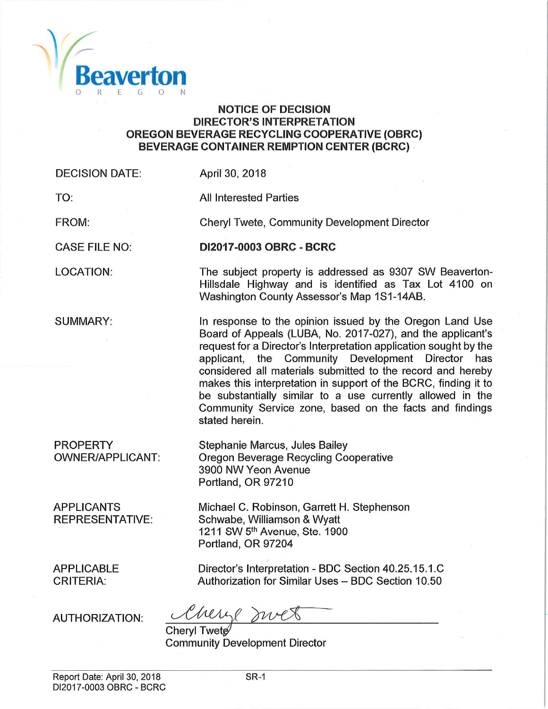

#### **NOTICE OF DECISION DIRECTOR'S INTERPRETATION OREGON BEVERAGE RECYCLING COOPERATIVE (OBRC) BEVERAGE CONTAINER REMPTION CENTER (BCRC)**

**DI2017-0003 OBRC - BCRC** 

**Chervl Twete, Community Development Director** 

Washington County Assessor's Map 1S1-14AB.

The subject property is addressed as 9307 SW Beaverton-Hillsdale Highway and is identified as Tax Lot 4100 on

In response to the opinion issued by the Oregon Land Use Board of Appeals (LUBA, No. 2017-027), and the applicant's request for a Director's Interpretation application sought by the applicant, the Community Development Director has considered all materials submitted to the record and hereby makes this interpretation in support of the BCRC, finding it to be substantially similar to a use currently allowed in the Community Service zone, based on the facts and findings

**DECISION DATE:** April 30, 2018

stated herein.

**All Interested Parties** 

TO:

FROM:

**CASE FILE NO:** 

**LOCATION:** 

**SUMMARY:** 

**PROPERTY OWNER/APPLICANT:** 

**APPLICANTS REPRESENTATIVE:** 

Stephanie Marcus, Jules Bailey Oregon Beverage Recycling Cooperative 3900 NW Yeon Avenue Portland, OR 97210

Michael C. Robinson, Garrett H. Stephenson Schwabe, Williamson & Wyatt 1211 SW 5th Avenue, Ste. 1900 Portland, OR 97204

**APPLICABLE CRITERIA:** 

Director's Interpretation - BDC Section 40.25.15.1.C Authorization for Similar Uses - BDC Section 10.50

**AUTHORIZATION:** 

Cherge mrex

Cheryl Twete **Community Development Director**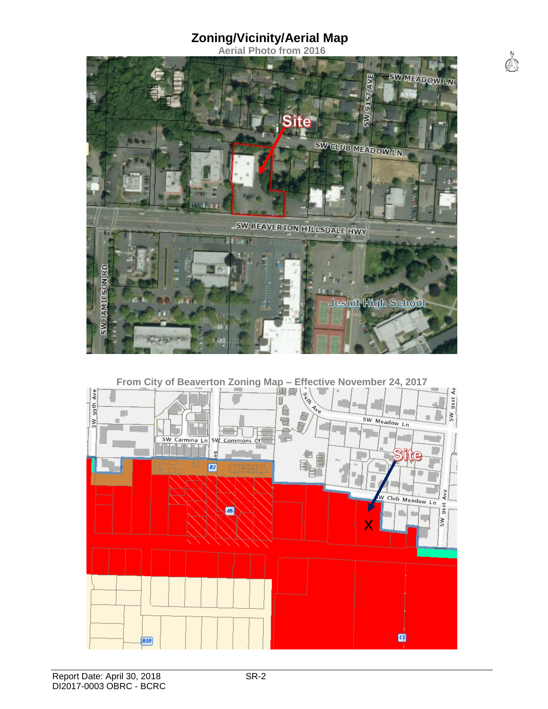# **Zoning/Vicinity/Aerial Map**

**Aerial Photo from 2016** 

 $\bigotimes^2$ 



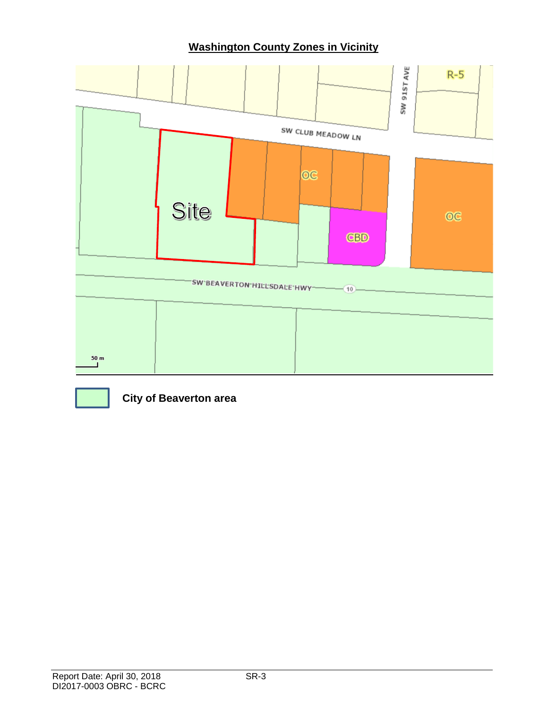# **Washington County Zones in Vicinity**





**City of Beaverton area**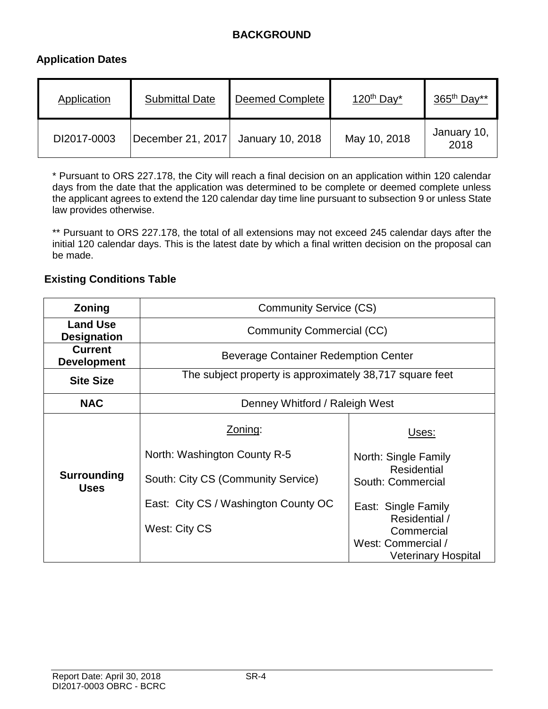## **BACKGROUND**

#### **Application Dates**

| Application | <b>Submittal Date</b>              | <b>Deemed Complete</b> | $120th$ Day <sup>*</sup> | $365th$ Day**       |
|-------------|------------------------------------|------------------------|--------------------------|---------------------|
| DI2017-0003 | December 21, 2017 January 10, 2018 |                        | May 10, 2018             | January 10,<br>2018 |

\* Pursuant to ORS 227.178, the City will reach a final decision on an application within 120 calendar days from the date that the application was determined to be complete or deemed complete unless the applicant agrees to extend the 120 calendar day time line pursuant to subsection 9 or unless State law provides otherwise.

\*\* Pursuant to ORS 227.178, the total of all extensions may not exceed 245 calendar days after the initial 120 calendar days. This is the latest date by which a final written decision on the proposal can be made.

#### **Existing Conditions Table**

| Zoning                                | <b>Community Service (CS)</b>                                                                                                          |                                                                                                                         |  |  |
|---------------------------------------|----------------------------------------------------------------------------------------------------------------------------------------|-------------------------------------------------------------------------------------------------------------------------|--|--|
| <b>Land Use</b><br><b>Designation</b> | <b>Community Commercial (CC)</b>                                                                                                       |                                                                                                                         |  |  |
| <b>Current</b><br><b>Development</b>  | Beverage Container Redemption Center                                                                                                   |                                                                                                                         |  |  |
| <b>Site Size</b>                      | The subject property is approximately 38,717 square feet                                                                               |                                                                                                                         |  |  |
| <b>NAC</b>                            | Denney Whitford / Raleigh West                                                                                                         |                                                                                                                         |  |  |
| Surrounding<br><b>Uses</b>            | Zoning:<br>North: Washington County R-5<br>South: City CS (Community Service)<br>East: City CS / Washington County OC<br>West: City CS | Uses:<br>North: Single Family<br>Residential<br>South: Commercial<br>East: Single Family<br>Residential /<br>Commercial |  |  |
|                                       |                                                                                                                                        | West: Commercial /<br><b>Veterinary Hospital</b>                                                                        |  |  |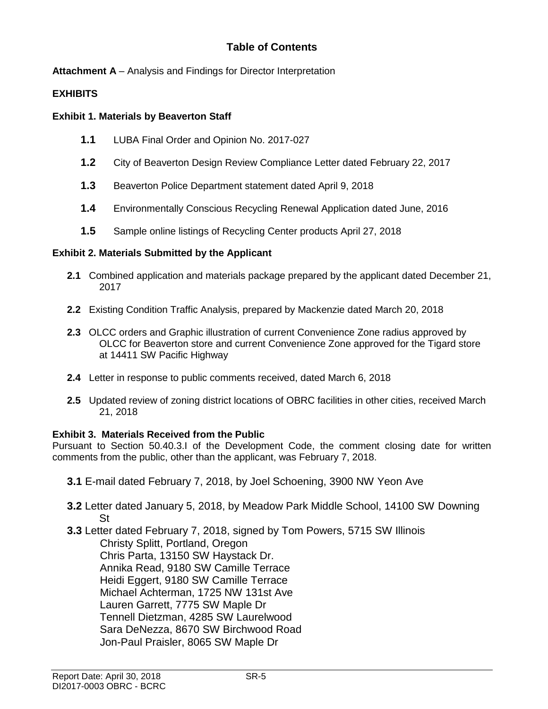### **Table of Contents**

**Attachment A** – Analysis and Findings for Director Interpretation

#### **EXHIBITS**

#### **Exhibit 1. Materials by Beaverton Staff**

- **1.1** LUBA Final Order and Opinion No. 2017-027
- **1.2** City of Beaverton Design Review Compliance Letter dated February 22, 2017
- **1.3** Beaverton Police Department statement dated April 9, 2018
- **1.4** Environmentally Conscious Recycling Renewal Application dated June, 2016
- **1.5** Sample online listings of Recycling Center products April 27, 2018

#### **Exhibit 2. Materials Submitted by the Applicant**

- **2.1** Combined application and materials package prepared by the applicant dated December 21, 2017
- **2.2** Existing Condition Traffic Analysis, prepared by Mackenzie dated March 20, 2018
- **2.3** OLCC orders and Graphic illustration of current Convenience Zone radius approved by OLCC for Beaverton store and current Convenience Zone approved for the Tigard store at 14411 SW Pacific Highway
- **2.4** Letter in response to public comments received, dated March 6, 2018
- **2.5** Updated review of zoning district locations of OBRC facilities in other cities, received March 21, 2018

#### **Exhibit 3. Materials Received from the Public**

Pursuant to Section 50.40.3.I of the Development Code, the comment closing date for written comments from the public, other than the applicant, was February 7, 2018.

- **3.1** E-mail dated February 7, 2018, by Joel Schoening, 3900 NW Yeon Ave
- **3.2** Letter dated January 5, 2018, by Meadow Park Middle School, 14100 SW Downing St
- **3.3** Letter dated February 7, 2018, signed by Tom Powers, 5715 SW Illinois Christy Splitt, Portland, Oregon Chris Parta, 13150 SW Haystack Dr. Annika Read, 9180 SW Camille Terrace Heidi Eggert, 9180 SW Camille Terrace Michael Achterman, 1725 NW 131st Ave Lauren Garrett, 7775 SW Maple Dr Tennell Dietzman, 4285 SW Laurelwood Sara DeNezza, 8670 SW Birchwood Road Jon-Paul Praisler, 8065 SW Maple Dr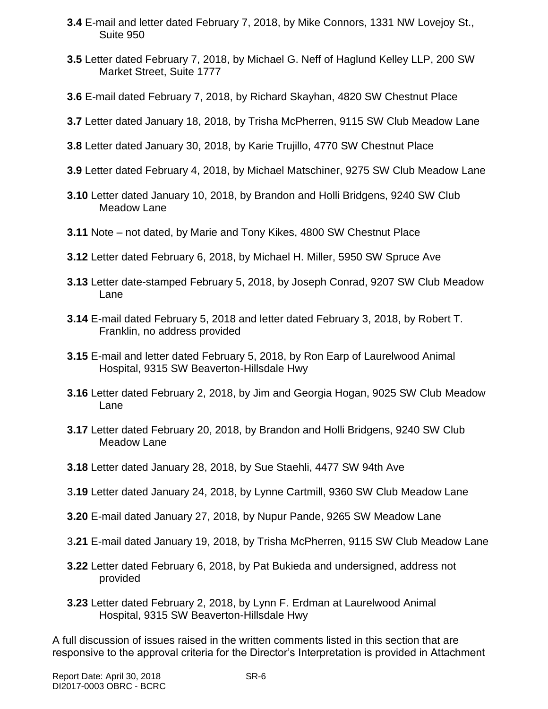- **3.4** E-mail and letter dated February 7, 2018, by Mike Connors, 1331 NW Lovejoy St., Suite 950
- **3.5** Letter dated February 7, 2018, by Michael G. Neff of Haglund Kelley LLP, 200 SW Market Street, Suite 1777
- **3.6** E-mail dated February 7, 2018, by Richard Skayhan, 4820 SW Chestnut Place
- **3.7** Letter dated January 18, 2018, by Trisha McPherren, 9115 SW Club Meadow Lane
- **3.8** Letter dated January 30, 2018, by Karie Trujillo, 4770 SW Chestnut Place
- **3.9** Letter dated February 4, 2018, by Michael Matschiner, 9275 SW Club Meadow Lane
- **3.10** Letter dated January 10, 2018, by Brandon and Holli Bridgens, 9240 SW Club Meadow Lane
- **3.11** Note not dated, by Marie and Tony Kikes, 4800 SW Chestnut Place
- **3.12** Letter dated February 6, 2018, by Michael H. Miller, 5950 SW Spruce Ave
- **3.13** Letter date-stamped February 5, 2018, by Joseph Conrad, 9207 SW Club Meadow Lane
- **3.14** E-mail dated February 5, 2018 and letter dated February 3, 2018, by Robert T. Franklin, no address provided
- **3.15** E-mail and letter dated February 5, 2018, by Ron Earp of Laurelwood Animal Hospital, 9315 SW Beaverton-Hillsdale Hwy
- **3.16** Letter dated February 2, 2018, by Jim and Georgia Hogan, 9025 SW Club Meadow Lane
- **3.17** Letter dated February 20, 2018, by Brandon and Holli Bridgens, 9240 SW Club Meadow Lane
- **3.18** Letter dated January 28, 2018, by Sue Staehli, 4477 SW 94th Ave
- 3**.19** Letter dated January 24, 2018, by Lynne Cartmill, 9360 SW Club Meadow Lane
- **3.20** E-mail dated January 27, 2018, by Nupur Pande, 9265 SW Meadow Lane
- 3**.21** E-mail dated January 19, 2018, by Trisha McPherren, 9115 SW Club Meadow Lane
- **3.22** Letter dated February 6, 2018, by Pat Bukieda and undersigned, address not provided
- **3.23** Letter dated February 2, 2018, by Lynn F. Erdman at Laurelwood Animal Hospital, 9315 SW Beaverton-Hillsdale Hwy

A full discussion of issues raised in the written comments listed in this section that are responsive to the approval criteria for the Director's Interpretation is provided in Attachment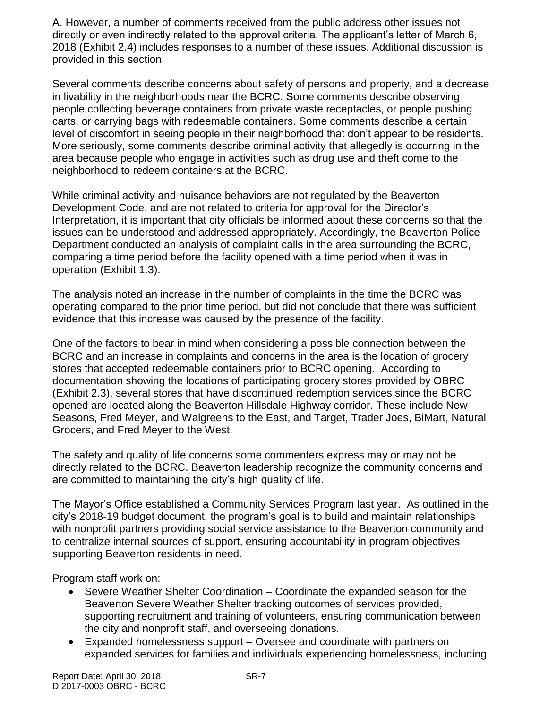A. However, a number of comments received from the public address other issues not directly or even indirectly related to the approval criteria. The applicant's letter of March 6, 2018 (Exhibit 2.4) includes responses to a number of these issues. Additional discussion is provided in this section.

Several comments describe concerns about safety of persons and property, and a decrease in livability in the neighborhoods near the BCRC. Some comments describe observing people collecting beverage containers from private waste receptacles, or people pushing carts, or carrying bags with redeemable containers. Some comments describe a certain level of discomfort in seeing people in their neighborhood that don't appear to be residents. More seriously, some comments describe criminal activity that allegedly is occurring in the area because people who engage in activities such as drug use and theft come to the neighborhood to redeem containers at the BCRC.

While criminal activity and nuisance behaviors are not regulated by the Beaverton Development Code, and are not related to criteria for approval for the Director's Interpretation, it is important that city officials be informed about these concerns so that the issues can be understood and addressed appropriately. Accordingly, the Beaverton Police Department conducted an analysis of complaint calls in the area surrounding the BCRC, comparing a time period before the facility opened with a time period when it was in operation (Exhibit 1.3).

The analysis noted an increase in the number of complaints in the time the BCRC was operating compared to the prior time period, but did not conclude that there was sufficient evidence that this increase was caused by the presence of the facility.

One of the factors to bear in mind when considering a possible connection between the BCRC and an increase in complaints and concerns in the area is the location of grocery stores that accepted redeemable containers prior to BCRC opening. According to documentation showing the locations of participating grocery stores provided by OBRC (Exhibit 2.3), several stores that have discontinued redemption services since the BCRC opened are located along the Beaverton Hillsdale Highway corridor. These include New Seasons, Fred Meyer, and Walgreens to the East, and Target, Trader Joes, BiMart, Natural Grocers, and Fred Meyer to the West.

The safety and quality of life concerns some commenters express may or may not be directly related to the BCRC. Beaverton leadership recognize the community concerns and are committed to maintaining the city's high quality of life.

The Mayor's Office established a Community Services Program last year. As outlined in the city's 2018-19 budget document, the program's goal is to build and maintain relationships with nonprofit partners providing social service assistance to the Beaverton community and to centralize internal sources of support, ensuring accountability in program objectives supporting Beaverton residents in need.

Program staff work on:

- Severe Weather Shelter Coordination Coordinate the expanded season for the Beaverton Severe Weather Shelter tracking outcomes of services provided, supporting recruitment and training of volunteers, ensuring communication between the city and nonprofit staff, and overseeing donations.
- Expanded homelessness support Oversee and coordinate with partners on expanded services for families and individuals experiencing homelessness, including